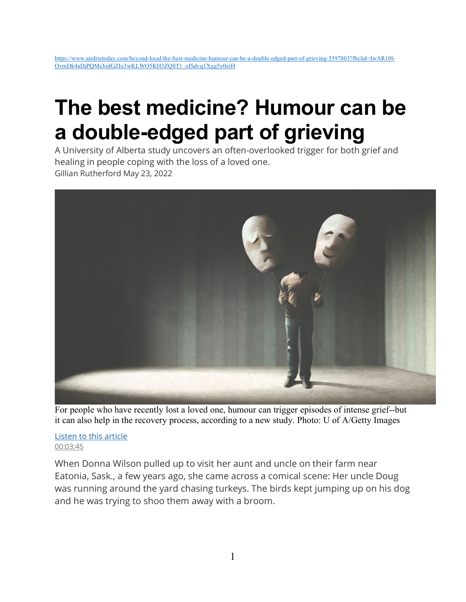## [https://www.airdrietoday.com/beyond-local/the-best-medicine-humour-can-be-a-double-edged-part-of-grieving-5397803?fbclid=IwAR10l-](https://www.airdrietoday.com/beyond-local/the-best-medicine-humour-can-be-a-double-edged-part-of-grieving-5397803?fbclid=IwAR10l-OvmDk4aDjPQMeJodGZIu3wKLWO5KH3ZQST1_oISdvq1Xgg5y0eif4)[OvmDk4aDjPQMeJodGZIu3wKLWO5KH3ZQST1\\_oISdvq1Xgg5y0eif4](https://www.airdrietoday.com/beyond-local/the-best-medicine-humour-can-be-a-double-edged-part-of-grieving-5397803?fbclid=IwAR10l-OvmDk4aDjPQMeJodGZIu3wKLWO5KH3ZQST1_oISdvq1Xgg5y0eif4)

## **The best medicine? Humour can be a double-edged part of grieving**

A University of Alberta study uncovers an often-overlooked trigger for both grief and healing in people coping with the loss of a loved one. Gillian Rutherford May 23, 2022



For people who have recently lost a loved one, humour can trigger episodes of intense grief--but it can also help in the recovery process, according to a new study. Photo: U of A/Getty Images

[Listen to this article](https://www.vmcdn.ca/files/texttospeech/5397803-ad87fd46-6d77-4575-bd5f-8c8d3e705e83.mp3)  [00:03:45](https://www.vmcdn.ca/files/texttospeech/5397803-ad87fd46-6d77-4575-bd5f-8c8d3e705e83.mp3)

When Donna Wilson pulled up to visit her aunt and uncle on their farm near Eatonia, Sask., a few years ago, she came across a comical scene: Her uncle Doug was running around the yard chasing turkeys. The birds kept jumping up on his dog and he was trying to shoo them away with a broom.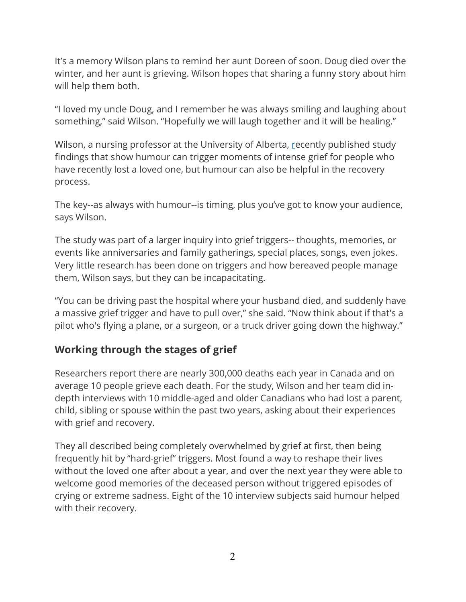It's a memory Wilson plans to remind her aunt Doreen of soon. Doug died over the winter, and her aunt is grieving. Wilson hopes that sharing a funny story about him will help them both.

"I loved my uncle Doug, and I remember he was always smiling and laughing about something," said Wilson. "Hopefully we will laugh together and it will be healing."

Wilson, a nursing professor at the University of Alberta, [re](https://journals.sagepub.com/doi/pdf/10.1177/00302228221075276?utm_source=airdrietoday.com&utm_campaign=airdrietoday.com%3A%20outbound&utm_medium=referral)cently published study findings that show humour can trigger moments of intense grief for people who have recently lost a loved one, but humour can also be helpful in the recovery process.

The key--as always with humour--is timing, plus you've got to know your audience, says Wilson.

The study was part of a larger inquiry into grief triggers-- thoughts, memories, or events like anniversaries and family gatherings, special places, songs, even jokes. Very little research has been done on triggers and how bereaved people manage them, Wilson says, but they can be incapacitating.

"You can be driving past the hospital where your husband died, and suddenly have a massive grief trigger and have to pull over," she said. "Now think about if that's a pilot who's flying a plane, or a surgeon, or a truck driver going down the highway."

## **Working through the stages of grief**

Researchers report there are nearly 300,000 deaths each year in Canada and on average 10 people grieve each death. For the study, Wilson and her team did indepth interviews with 10 middle-aged and older Canadians who had lost a parent, child, sibling or spouse within the past two years, asking about their experiences with grief and recovery.

They all described being completely overwhelmed by grief at first, then being frequently hit by "hard-grief" triggers. Most found a way to reshape their lives without the loved one after about a year, and over the next year they were able to welcome good memories of the deceased person without triggered episodes of crying or extreme sadness. Eight of the 10 interview subjects said humour helped with their recovery.